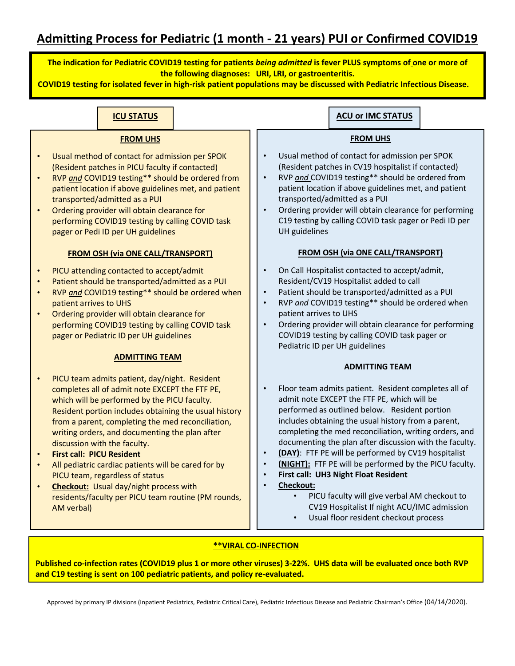**Admitting Process for Pediatric (1 month - 21 years) PUI or Confirmed COVID19**<br> **The indication for Pediatric COVID19 testing for patients** *being admitted* **is fever PLUS symptoms of one or more of<br>
<b>EXECUTE LATE COVID19 The indication for Pediatric COVID19 testing for patients** *being admitted* **is fever PLUS symptoms of one or more of the following diagnoses: URI, LRI, or gastroenteritis.** 

**COVID19 testing for isolated fever in high-risk patient populations may be discussed with Pediatric Infectious Disease.** 

|                                                                                                                                                                                                                                                                                                                                                                                                             | <b>ICU STATUS</b>                                                                                                                                                                                                                                                                                                                                                                                                          |                                                                                                              |                                                                                                                                                                                                                                                                                                                                                                                                                                       |                  | <b>ACU or IMC STATUS</b>                                                                                                                                                                                                                                                                                                                                                                                                                                                                                                                                                                                                                                   |  |
|-------------------------------------------------------------------------------------------------------------------------------------------------------------------------------------------------------------------------------------------------------------------------------------------------------------------------------------------------------------------------------------------------------------|----------------------------------------------------------------------------------------------------------------------------------------------------------------------------------------------------------------------------------------------------------------------------------------------------------------------------------------------------------------------------------------------------------------------------|--------------------------------------------------------------------------------------------------------------|---------------------------------------------------------------------------------------------------------------------------------------------------------------------------------------------------------------------------------------------------------------------------------------------------------------------------------------------------------------------------------------------------------------------------------------|------------------|------------------------------------------------------------------------------------------------------------------------------------------------------------------------------------------------------------------------------------------------------------------------------------------------------------------------------------------------------------------------------------------------------------------------------------------------------------------------------------------------------------------------------------------------------------------------------------------------------------------------------------------------------------|--|
| <b>FROM UHS</b><br>Usual method of contact for admission per SPOK<br>(Resident patches in PICU faculty if contacted)<br>RVP and COVID19 testing** should be ordered from<br>patient location if above guidelines met, and patient<br>transported/admitted as a PUI<br>Ordering provider will obtain clearance for<br>performing COVID19 testing by calling COVID task<br>pager or Pedi ID per UH guidelines |                                                                                                                                                                                                                                                                                                                                                                                                                            |                                                                                                              | <b>FROM UHS</b><br>Usual method of contact for admission per SPOK<br>$\bullet$<br>(Resident patches in CV19 hospitalist if contacted)<br>RVP and COVID19 testing** should be ordered from<br>$\bullet$<br>patient location if above guidelines met, and patient<br>transported/admitted as a PUI<br>Ordering provider will obtain clearance for performing<br>C19 testing by calling COVID task pager or Pedi ID per<br>UH guidelines |                  |                                                                                                                                                                                                                                                                                                                                                                                                                                                                                                                                                                                                                                                            |  |
| <b>FROM OSH (via ONE CALL/TRANSPORT)</b><br>PICU attending contacted to accept/admit<br>$\bullet$<br>Patient should be transported/admitted as a PUI<br>$\bullet$<br>RVP and COVID19 testing** should be ordered when<br>$\bullet$<br>patient arrives to UHS<br>Ordering provider will obtain clearance for<br>performing COVID19 testing by calling COVID task<br>pager or Pediatric ID per UH guidelines  |                                                                                                                                                                                                                                                                                                                                                                                                                            | $\bullet$<br>$\bullet$                                                                                       | <b>FROM OSH (via ONE CALL/TRANSPORT)</b><br>On Call Hospitalist contacted to accept/admit,<br>Resident/CV19 Hospitalist added to call<br>Patient should be transported/admitted as a PUI<br>RVP and COVID19 testing** should be ordered when<br>patient arrives to UHS<br>Ordering provider will obtain clearance for performing<br>COVID19 testing by calling COVID task pager or<br>Pediatric ID per UH guidelines                  |                  |                                                                                                                                                                                                                                                                                                                                                                                                                                                                                                                                                                                                                                                            |  |
| discussion with the faculty.<br><b>First call: PICU Resident</b><br>AM verbal)                                                                                                                                                                                                                                                                                                                              | <b>ADMITTING TEAM</b><br>PICU team admits patient, day/night. Resident<br>completes all of admit note EXCEPT the FTF PE,<br>which will be performed by the PICU faculty.<br>from a parent, completing the med reconciliation,<br>writing orders, and documenting the plan after<br>All pediatric cardiac patients will be cared for by<br>PICU team, regardless of status<br><b>Checkout:</b> Usual day/night process with | Resident portion includes obtaining the usual history<br>residents/faculty per PICU team routine (PM rounds, |                                                                                                                                                                                                                                                                                                                                                                                                                                       | <b>Checkout:</b> | <b>ADMITTING TEAM</b><br>Floor team admits patient. Resident completes all of<br>admit note EXCEPT the FTF PE, which will be<br>performed as outlined below. Resident portion<br>includes obtaining the usual history from a parent,<br>completing the med reconciliation, writing orders, and<br>documenting the plan after discussion with the faculty.<br>(DAY): FTF PE will be performed by CV19 hospitalist<br>(NIGHT): FTF PE will be performed by the PICU faculty.<br>First call: UH3 Night Float Resident<br>PICU faculty will give verbal AM checkout to<br>CV19 Hospitalist If night ACU/IMC admission<br>Usual floor resident checkout process |  |
| <b>**VIRAL CO-INFECTION</b><br>Published co-infection rates (COVID19 plus 1 or more other viruses) 3-22%. UHS data will be evaluated once both RVP<br>and C19 testing is sent on 100 pediatric patients, and policy re-evaluated.                                                                                                                                                                           |                                                                                                                                                                                                                                                                                                                                                                                                                            |                                                                                                              |                                                                                                                                                                                                                                                                                                                                                                                                                                       |                  |                                                                                                                                                                                                                                                                                                                                                                                                                                                                                                                                                                                                                                                            |  |

Approved by primary IP divisions (Inpatient Pediatrics, Pediatric Critical Care), Pediatric Infectious Disease and Pediatric Chairman's Office (04/14/2020).